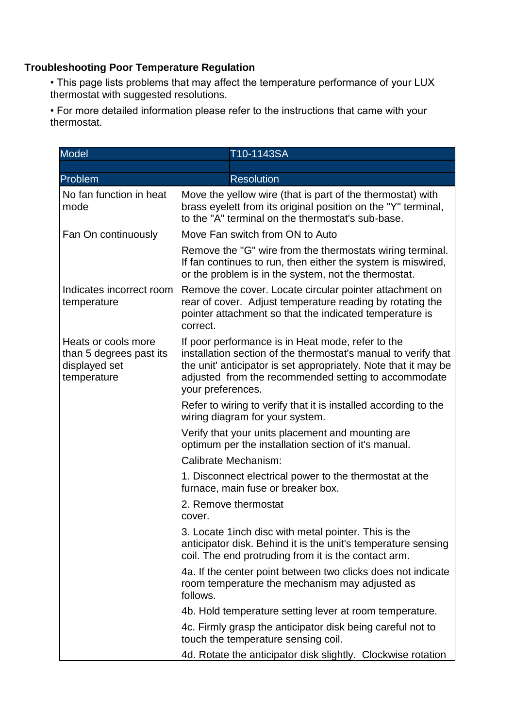## **Troubleshooting Poor Temperature Regulation**

• This page lists problems that may affect the temperature performance of your LUX thermostat with suggested resolutions.

• For more detailed information please refer to the instructions that came with your thermostat.

| <b>Model</b>                                                                   | T10-1143SA                                                                                                                                                                                                                                                          |
|--------------------------------------------------------------------------------|---------------------------------------------------------------------------------------------------------------------------------------------------------------------------------------------------------------------------------------------------------------------|
|                                                                                |                                                                                                                                                                                                                                                                     |
| Problem                                                                        | <b>Resolution</b>                                                                                                                                                                                                                                                   |
| No fan function in heat<br>mode                                                | Move the yellow wire (that is part of the thermostat) with<br>brass eyelett from its original position on the "Y" terminal,<br>to the "A" terminal on the thermostat's sub-base.                                                                                    |
| Fan On continuously                                                            | Move Fan switch from ON to Auto                                                                                                                                                                                                                                     |
|                                                                                | Remove the "G" wire from the thermostats wiring terminal.<br>If fan continues to run, then either the system is miswired,<br>or the problem is in the system, not the thermostat.                                                                                   |
| Indicates incorrect room<br>temperature                                        | Remove the cover. Locate circular pointer attachment on<br>rear of cover. Adjust temperature reading by rotating the<br>pointer attachment so that the indicated temperature is<br>correct.                                                                         |
| Heats or cools more<br>than 5 degrees past its<br>displayed set<br>temperature | If poor performance is in Heat mode, refer to the<br>installation section of the thermostat's manual to verify that<br>the unit' anticipator is set appropriately. Note that it may be<br>adjusted from the recommended setting to accommodate<br>your preferences. |
|                                                                                | Refer to wiring to verify that it is installed according to the<br>wiring diagram for your system.                                                                                                                                                                  |
|                                                                                | Verify that your units placement and mounting are<br>optimum per the installation section of it's manual.                                                                                                                                                           |
|                                                                                | Calibrate Mechanism:                                                                                                                                                                                                                                                |
|                                                                                | 1. Disconnect electrical power to the thermostat at the<br>furnace, main fuse or breaker box.                                                                                                                                                                       |
|                                                                                | 2. Remove thermostat<br>cover.                                                                                                                                                                                                                                      |
|                                                                                | 3. Locate 1 inch disc with metal pointer. This is the<br>anticipator disk. Behind it is the unit's temperature sensing<br>coil. The end protruding from it is the contact arm.                                                                                      |
|                                                                                | 4a. If the center point between two clicks does not indicate<br>room temperature the mechanism may adjusted as<br>follows.                                                                                                                                          |
|                                                                                | 4b. Hold temperature setting lever at room temperature.                                                                                                                                                                                                             |
|                                                                                | 4c. Firmly grasp the anticipator disk being careful not to<br>touch the temperature sensing coil.                                                                                                                                                                   |
|                                                                                | 4d. Rotate the anticipator disk slightly. Clockwise rotation                                                                                                                                                                                                        |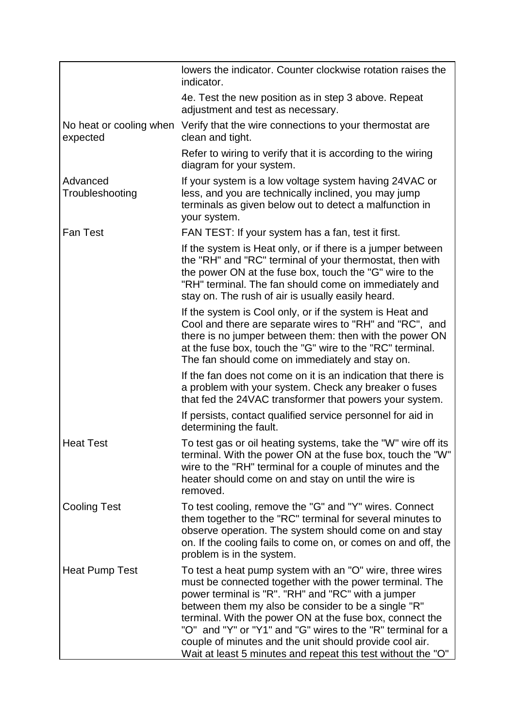|                                     | lowers the indicator. Counter clockwise rotation raises the<br>indicator.                                                                                                                                                                                                                                                                                                                                                                                                              |
|-------------------------------------|----------------------------------------------------------------------------------------------------------------------------------------------------------------------------------------------------------------------------------------------------------------------------------------------------------------------------------------------------------------------------------------------------------------------------------------------------------------------------------------|
|                                     | 4e. Test the new position as in step 3 above. Repeat<br>adjustment and test as necessary.                                                                                                                                                                                                                                                                                                                                                                                              |
| No heat or cooling when<br>expected | Verify that the wire connections to your thermostat are<br>clean and tight.                                                                                                                                                                                                                                                                                                                                                                                                            |
|                                     | Refer to wiring to verify that it is according to the wiring<br>diagram for your system.                                                                                                                                                                                                                                                                                                                                                                                               |
| Advanced<br>Troubleshooting         | If your system is a low voltage system having 24VAC or<br>less, and you are technically inclined, you may jump<br>terminals as given below out to detect a malfunction in<br>your system.                                                                                                                                                                                                                                                                                              |
| <b>Fan Test</b>                     | FAN TEST: If your system has a fan, test it first.                                                                                                                                                                                                                                                                                                                                                                                                                                     |
|                                     | If the system is Heat only, or if there is a jumper between<br>the "RH" and "RC" terminal of your thermostat, then with<br>the power ON at the fuse box, touch the "G" wire to the<br>"RH" terminal. The fan should come on immediately and<br>stay on. The rush of air is usually easily heard.                                                                                                                                                                                       |
|                                     | If the system is Cool only, or if the system is Heat and<br>Cool and there are separate wires to "RH" and "RC", and<br>there is no jumper between them: then with the power ON<br>at the fuse box, touch the "G" wire to the "RC" terminal.<br>The fan should come on immediately and stay on.                                                                                                                                                                                         |
|                                     | If the fan does not come on it is an indication that there is<br>a problem with your system. Check any breaker o fuses<br>that fed the 24VAC transformer that powers your system.                                                                                                                                                                                                                                                                                                      |
|                                     | If persists, contact qualified service personnel for aid in<br>determining the fault.                                                                                                                                                                                                                                                                                                                                                                                                  |
| <b>Heat Test</b>                    | To test gas or oil heating systems, take the "W" wire off its<br>terminal. With the power ON at the fuse box, touch the "W"<br>wire to the "RH" terminal for a couple of minutes and the<br>heater should come on and stay on until the wire is<br>removed.                                                                                                                                                                                                                            |
| <b>Cooling Test</b>                 | To test cooling, remove the "G" and "Y" wires. Connect<br>them together to the "RC" terminal for several minutes to<br>observe operation. The system should come on and stay<br>on. If the cooling fails to come on, or comes on and off, the<br>problem is in the system.                                                                                                                                                                                                             |
| Heat Pump Test                      | To test a heat pump system with an "O" wire, three wires<br>must be connected together with the power terminal. The<br>power terminal is "R". "RH" and "RC" with a jumper<br>between them my also be consider to be a single "R"<br>terminal. With the power ON at the fuse box, connect the<br>"O" and "Y" or "Y1" and "G" wires to the "R" terminal for a<br>couple of minutes and the unit should provide cool air.<br>Wait at least 5 minutes and repeat this test without the "O" |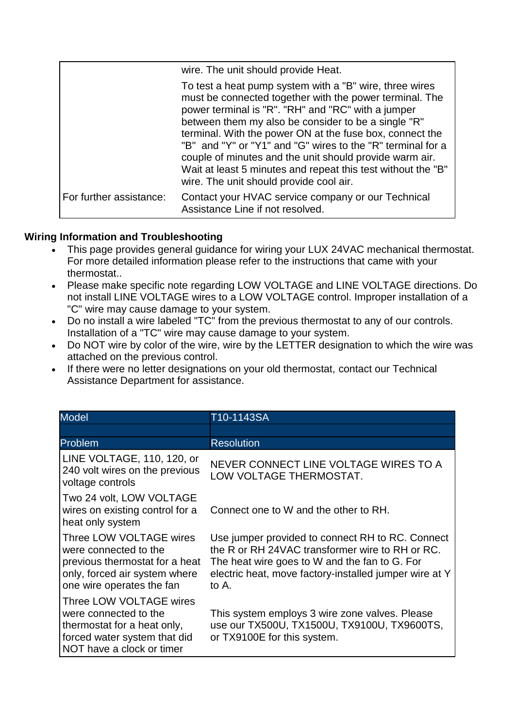|                         | wire. The unit should provide Heat.                                                                                                                                                                                                                                                                                                                                                                                                                                                                                              |
|-------------------------|----------------------------------------------------------------------------------------------------------------------------------------------------------------------------------------------------------------------------------------------------------------------------------------------------------------------------------------------------------------------------------------------------------------------------------------------------------------------------------------------------------------------------------|
|                         | To test a heat pump system with a "B" wire, three wires<br>must be connected together with the power terminal. The<br>power terminal is "R". "RH" and "RC" with a jumper<br>between them my also be consider to be a single "R"<br>terminal. With the power ON at the fuse box, connect the<br>"B" and "Y" or "Y1" and "G" wires to the "R" terminal for a<br>couple of minutes and the unit should provide warm air.<br>Wait at least 5 minutes and repeat this test without the "B"<br>wire. The unit should provide cool air. |
| For further assistance: | Contact your HVAC service company or our Technical<br>Assistance Line if not resolved.                                                                                                                                                                                                                                                                                                                                                                                                                                           |

## **Wiring Information and Troubleshooting**

- This page provides general guidance for wiring your LUX 24VAC mechanical thermostat. For more detailed information please refer to the instructions that came with your thermostat..
- Please make specific note regarding LOW VOLTAGE and LINE VOLTAGE directions. Do not install LINE VOLTAGE wires to a LOW VOLTAGE control. Improper installation of a "C" wire may cause damage to your system.
- Do no install a wire labeled "TC" from the previous thermostat to any of our controls. Installation of a "TC" wire may cause damage to your system.
- Do NOT wire by color of the wire, wire by the LETTER designation to which the wire was attached on the previous control.
- If there were no letter designations on your old thermostat, contact our Technical Assistance Department for assistance.

| <b>Model</b>                                                                                                                                     | T10-1143SA                                                                                                                                                                                                              |
|--------------------------------------------------------------------------------------------------------------------------------------------------|-------------------------------------------------------------------------------------------------------------------------------------------------------------------------------------------------------------------------|
|                                                                                                                                                  |                                                                                                                                                                                                                         |
| Problem                                                                                                                                          | <b>Resolution</b>                                                                                                                                                                                                       |
| LINE VOLTAGE, 110, 120, or<br>240 volt wires on the previous<br>voltage controls                                                                 | NEVER CONNECT LINE VOLTAGE WIRES TO A<br>LOW VOLTAGE THERMOSTAT.                                                                                                                                                        |
| Two 24 volt, LOW VOLTAGE<br>wires on existing control for a<br>heat only system                                                                  | Connect one to W and the other to RH.                                                                                                                                                                                   |
| Three LOW VOLTAGE wires<br>were connected to the<br>previous thermostat for a heat<br>only, forced air system where<br>one wire operates the fan | Use jumper provided to connect RH to RC. Connect<br>the R or RH 24VAC transformer wire to RH or RC.<br>The heat wire goes to W and the fan to G. For<br>electric heat, move factory-installed jumper wire at Y<br>to A. |
| Three LOW VOLTAGE wires<br>were connected to the<br>thermostat for a heat only,<br>forced water system that did<br>NOT have a clock or timer     | This system employs 3 wire zone valves. Please<br>use our TX500U, TX1500U, TX9100U, TX9600TS,<br>or TX9100E for this system.                                                                                            |